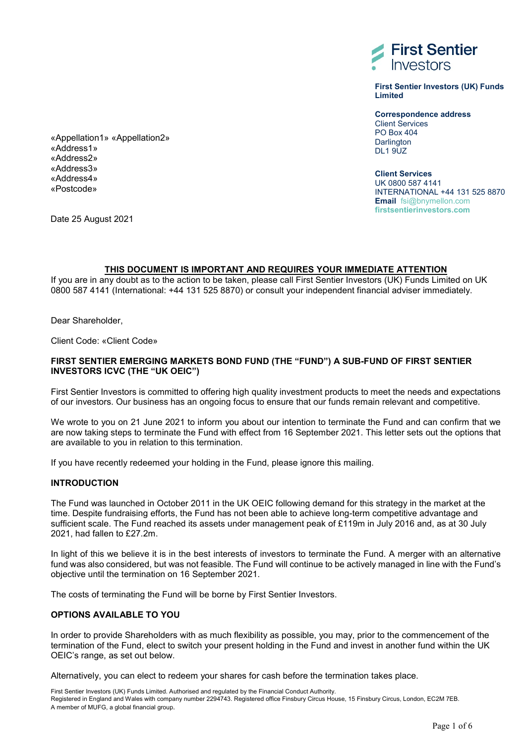

**First Sentier Investors (UK) Funds Limited**

**Correspondence address** Client Services PO Box 404 **Darlington** DL<sub>1</sub> 9UZ

**Client Services** UK 0800 587 4141 INTERNATIONAL +44 131 525 8870 **Email** fsi@bnymellon.com **firstsentierinvestors.com** 

«Appellation1» «Appellation2» «Address1» «Address2» «Address3» «Address4» «Postcode»

Date 25 August 2021

## **THIS DOCUMENT IS IMPORTANT AND REQUIRES YOUR IMMEDIATE ATTENTION**

If you are in any doubt as to the action to be taken, please call First Sentier Investors (UK) Funds Limited on UK 0800 587 4141 (International: +44 131 525 8870) or consult your independent financial adviser immediately.

Dear Shareholder,

Client Code: «Client Code»

## **FIRST SENTIER EMERGING MARKETS BOND FUND (THE "FUND") A SUB-FUND OF FIRST SENTIER INVESTORS ICVC (THE "UK OEIC")**

First Sentier Investors is committed to offering high quality investment products to meet the needs and expectations of our investors. Our business has an ongoing focus to ensure that our funds remain relevant and competitive.

We wrote to you on 21 June 2021 to inform you about our intention to terminate the Fund and can confirm that we are now taking steps to terminate the Fund with effect from 16 September 2021. This letter sets out the options that are available to you in relation to this termination.

If you have recently redeemed your holding in the Fund, please ignore this mailing.

#### **INTRODUCTION**

The Fund was launched in October 2011 in the UK OEIC following demand for this strategy in the market at the time. Despite fundraising efforts, the Fund has not been able to achieve long-term competitive advantage and sufficient scale. The Fund reached its assets under management peak of £119m in July 2016 and, as at 30 July 2021, had fallen to £27.2m.

In light of this we believe it is in the best interests of investors to terminate the Fund. A merger with an alternative fund was also considered, but was not feasible. The Fund will continue to be actively managed in line with the Fund's objective until the termination on 16 September 2021.

The costs of terminating the Fund will be borne by First Sentier Investors.

## **OPTIONS AVAILABLE TO YOU**

In order to provide Shareholders with as much flexibility as possible, you may, prior to the commencement of the termination of the Fund, elect to switch your present holding in the Fund and invest in another fund within the UK OEIC's range, as set out below.

Alternatively, you can elect to redeem your shares for cash before the termination takes place.

First Sentier Investors (UK) Funds Limited. Authorised and regulated by the Financial Conduct Authority. Registered in England and Wales with company number 2294743. Registered office Finsbury Circus House, 15 Finsbury Circus, London, EC2M 7EB. A member of MUFG, a global financial group.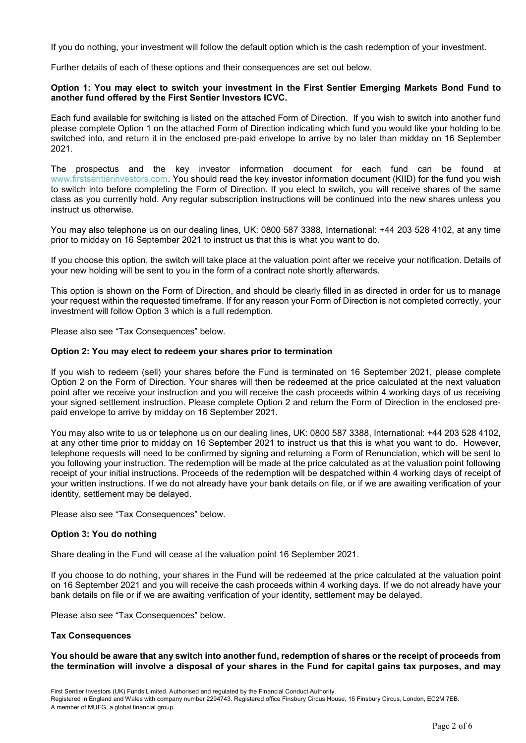If you do nothing, your investment will follow the default option which is the cash redemption of your investment.

Further details of each of these options and their consequences are set out below.

### **Option 1: You may elect to switch your investment in the First Sentier Emerging Markets Bond Fund to another fund offered by the First Sentier Investors ICVC.**

Each fund available for switching is listed on the attached Form of Direction. If you wish to switch into another fund please complete Option 1 on the attached Form of Direction indicating which fund you would like your holding to be switched into, and return it in the enclosed pre-paid envelope to arrive by no later than midday on 16 September 2021.

The prospectus and the key investor information document for each fund can be found at www.firstsentierinvestors.com. You should read the key investor information document (KIID) for the fund you wish to switch into before completing the Form of Direction. If you elect to switch, you will receive shares of the same class as you currently hold. Any regular subscription instructions will be continued into the new shares unless you instruct us otherwise.

You may also telephone us on our dealing lines, UK: 0800 587 3388, International: +44 203 528 4102, at any time prior to midday on 16 September 2021 to instruct us that this is what you want to do.

If you choose this option, the switch will take place at the valuation point after we receive your notification. Details of your new holding will be sent to you in the form of a contract note shortly afterwards.

This option is shown on the Form of Direction, and should be clearly filled in as directed in order for us to manage your request within the requested timeframe. If for any reason your Form of Direction is not completed correctly, your investment will follow Option 3 which is a full redemption.

Please also see "Tax Consequences" below.

### **Option 2: You may elect to redeem your shares prior to termination**

If you wish to redeem (sell) your shares before the Fund is terminated on 16 September 2021, please complete Option 2 on the Form of Direction. Your shares will then be redeemed at the price calculated at the next valuation point after we receive your instruction and you will receive the cash proceeds within 4 working days of us receiving your signed settlement instruction. Please complete Option 2 and return the Form of Direction in the enclosed prepaid envelope to arrive by midday on 16 September 2021.

You may also write to us or telephone us on our dealing lines, UK: 0800 587 3388, International: +44 203 528 4102, at any other time prior to midday on 16 September 2021 to instruct us that this is what you want to do. However, telephone requests will need to be confirmed by signing and returning a Form of Renunciation, which will be sent to you following your instruction. The redemption will be made at the price calculated as at the valuation point following receipt of your initial instructions. Proceeds of the redemption will be despatched within 4 working days of receipt of your written instructions. If we do not already have your bank details on file, or if we are awaiting verification of your identity, settlement may be delayed.

Please also see "Tax Consequences" below.

## **Option 3: You do nothing**

Share dealing in the Fund will cease at the valuation point 16 September 2021.

If you choose to do nothing, your shares in the Fund will be redeemed at the price calculated at the valuation point on 16 September 2021 and you will receive the cash proceeds within 4 working days. If we do not already have your bank details on file or if we are awaiting verification of your identity, settlement may be delayed.

Please also see "Tax Consequences" below.

## **Tax Consequences**

### **You should be aware that any switch into another fund, redemption of shares or the receipt of proceeds from the termination will involve a disposal of your shares in the Fund for capital gains tax purposes, and may**

First Sentier Investors (UK) Funds Limited. Authorised and regulated by the Financial Conduct Authority.

Registered in England and Wales with company number 2294743. Registered office Finsbury Circus House, 15 Finsbury Circus, London, EC2M 7EB. A member of MUFG, a global financial group.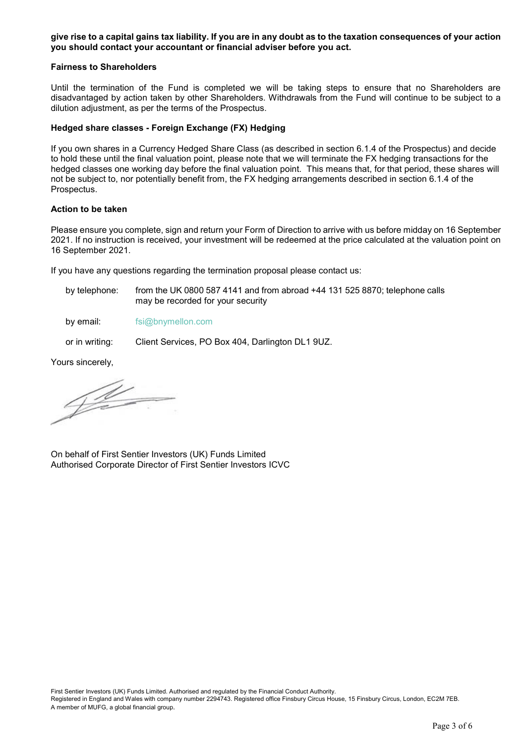**give rise to a capital gains tax liability. If you are in any doubt as to the taxation consequences of your action you should contact your accountant or financial adviser before you act.** 

#### **Fairness to Shareholders**

Until the termination of the Fund is completed we will be taking steps to ensure that no Shareholders are disadvantaged by action taken by other Shareholders. Withdrawals from the Fund will continue to be subject to a dilution adjustment, as per the terms of the Prospectus.

### **Hedged share classes - Foreign Exchange (FX) Hedging**

If you own shares in a Currency Hedged Share Class (as described in section 6.1.4 of the Prospectus) and decide to hold these until the final valuation point, please note that we will terminate the FX hedging transactions for the hedged classes one working day before the final valuation point. This means that, for that period, these shares will not be subject to, nor potentially benefit from, the FX hedging arrangements described in section 6.1.4 of the Prospectus.

#### **Action to be taken**

Please ensure you complete, sign and return your Form of Direction to arrive with us before midday on 16 September 2021. If no instruction is received, your investment will be redeemed at the price calculated at the valuation point on 16 September 2021.

If you have any questions regarding the termination proposal please contact us:

by telephone: from the UK 0800 587 4141 and from abroad +44 131 525 8870; telephone calls may be recorded for your security

by email: [fsi@bnymellon.com](mailto:fsi@bnymellon.com)

or in writing: Client Services, PO Box 404, Darlington DL1 9UZ.

Yours sincerely,

 $4\%$ 

On behalf of First Sentier Investors (UK) Funds Limited Authorised Corporate Director of First Sentier Investors ICVC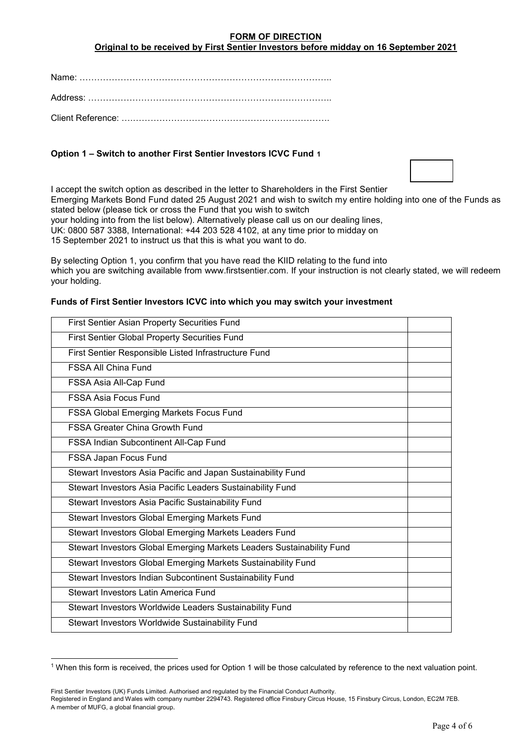## **FORM OF DIRECTION**

**Original to be received by First Sentier Investors before midday on 16 September 2021**

Name: …………………………………………………………………………..

Address: ………………………………………………………………………..

Client Reference: ….………………………………………………………….

# **Option 1 – Switch to another First Sentier Investors ICVC Fund [1](#page-3-0)**

I accept the switch option as described in the letter to Shareholders in the First Sentier Emerging Markets Bond Fund dated 25 August 2021 and wish to switch my entire holding into one of the Funds as stated below (please tick or cross the Fund that you wish to switch your holding into from the list below). Alternatively please call us on our dealing lines, UK: 0800 587 3388, International: +44 203 528 4102, at any time prior to midday on

15 September 2021 to instruct us that this is what you want to do.

By selecting Option 1, you confirm that you have read the KIID relating to the fund into which you are switching available from www.firstsentier.com. If your instruction is not clearly stated, we will redeem your holding.

# First Sentier Asian Property Securities Fund First Sentier Global Property Securities Fund First Sentier Responsible Listed Infrastructure Fund FSSA All China Fund FSSA Asia All-Cap Fund FSSA Asia Focus Fund FSSA Global Emerging Markets Focus Fund FSSA Greater China Growth Fund FSSA Indian Subcontinent All-Cap Fund FSSA Japan Focus Fund Stewart Investors Asia Pacific and Japan Sustainability Fund Stewart Investors Asia Pacific Leaders Sustainability Fund Stewart Investors Asia Pacific Sustainability Fund Stewart Investors Global Emerging Markets Fund Stewart Investors Global Emerging Markets Leaders Fund Stewart Investors Global Emerging Markets Leaders Sustainability Fund Stewart Investors Global Emerging Markets Sustainability Fund Stewart Investors Indian Subcontinent Sustainability Fund Stewart Investors Latin America Fund Stewart Investors Worldwide Leaders Sustainability Fund Stewart Investors Worldwide Sustainability Fund

## **Funds of First Sentier Investors ICVC into which you may switch your investment**

-

<span id="page-3-0"></span><sup>1</sup> When this form is received, the prices used for Option 1 will be those calculated by reference to the next valuation point.

First Sentier Investors (UK) Funds Limited. Authorised and regulated by the Financial Conduct Authority.

Registered in England and Wales with company number 2294743. Registered office Finsbury Circus House, 15 Finsbury Circus, London, EC2M 7EB. A member of MUFG, a global financial group.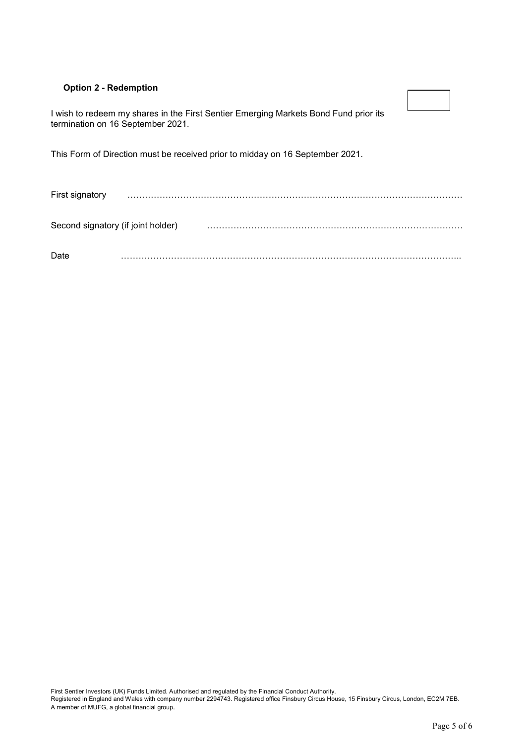# **Option 2 - Redemption**

I wish to redeem my shares in the First Sentier Emerging Markets Bond Fund prior its termination on 16 September 2021.

This Form of Direction must be received prior to midday on 16 September 2021.

First signatory …………………………………………………………………………………………………… Second signatory (if joint holder) …………………………………………………………………………… Date ……………………………………………………………………………………………………..